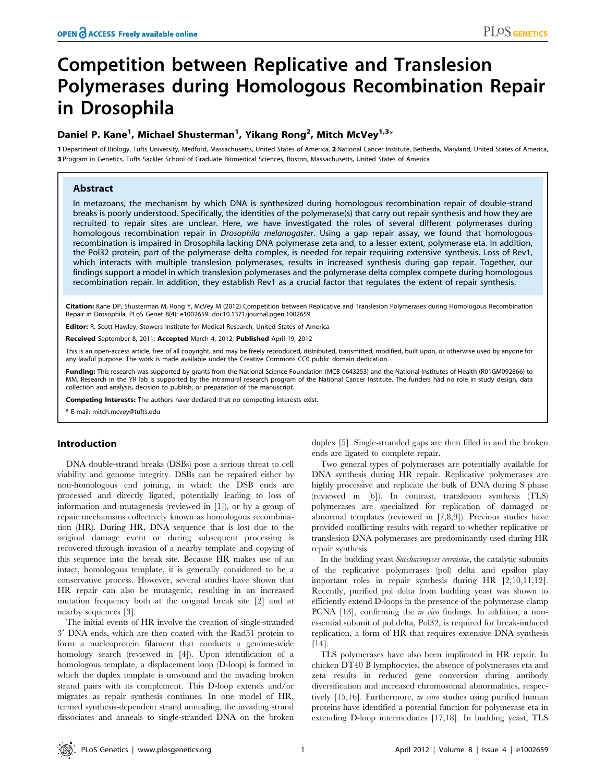# Competition between Replicative and Translesion Polymerases during Homologous Recombination Repair in Drosophila

# Daniel P. Kane<sup>1</sup>, Michael Shusterman<sup>1</sup>, Yikang Rong<sup>2</sup>, Mitch McVey<sup>1,3</sup>\*

1 Department of Biology, Tufts University, Medford, Massachusetts, United States of America, 2 National Cancer Institute, Bethesda, Maryland, United States of America, 3 Program in Genetics, Tufts Sackler School of Graduate Biomedical Sciences, Boston, Massachusetts, United States of America

## Abstract

In metazoans, the mechanism by which DNA is synthesized during homologous recombination repair of double-strand breaks is poorly understood. Specifically, the identities of the polymerase(s) that carry out repair synthesis and how they are recruited to repair sites are unclear. Here, we have investigated the roles of several different polymerases during homologous recombination repair in Drosophila melanogaster. Using a gap repair assay, we found that homologous recombination is impaired in Drosophila lacking DNA polymerase zeta and, to a lesser extent, polymerase eta. In addition, the Pol32 protein, part of the polymerase delta complex, is needed for repair requiring extensive synthesis. Loss of Rev1, which interacts with multiple translesion polymerases, results in increased synthesis during gap repair. Together, our findings support a model in which translesion polymerases and the polymerase delta complex compete during homologous recombination repair. In addition, they establish Rev1 as a crucial factor that regulates the extent of repair synthesis.

Citation: Kane DP, Shusterman M, Rong Y, McVey M (2012) Competition between Replicative and Translesion Polymerases during Homologous Recombination Repair in Drosophila. PLoS Genet 8(4): e1002659. doi:10.1371/journal.pgen.1002659

Editor: R. Scott Hawley, Stowers Institute for Medical Research, United States of America

Received September 8, 2011; Accepted March 4, 2012; Published April 19, 2012

This is an open-access article, free of all copyright, and may be freely reproduced, distributed, transmitted, modified, built upon, or otherwise used by anyone for any lawful purpose. The work is made available under the Creative Commons CC0 public domain dedication.

Funding: This research was supported by grants from the National Science Foundation (MCB-0643253) and the National Institutes of Health (R01GM092866) to MM. Research in the YR lab is supported by the intramural research program of the National Cancer Institute. The funders had no role in study design, data collection and analysis, decision to publish, or preparation of the manuscript.

Competing Interests: The authors have declared that no competing interests exist.

\* E-mail: mitch.mcvey@tufts.edu

#### Introduction

DNA double-strand breaks (DSBs) pose a serious threat to cell viability and genome integrity. DSBs can be repaired either by non-homologous end joining, in which the DSB ends are processed and directly ligated, potentially leading to loss of information and mutagenesis (reviewed in [1]), or by a group of repair mechanisms collectively known as homologous recombination (HR). During HR, DNA sequence that is lost due to the original damage event or during subsequent processing is recovered through invasion of a nearby template and copying of this sequence into the break site. Because HR makes use of an intact, homologous template, it is generally considered to be a conservative process. However, several studies have shown that HR repair can also be mutagenic, resulting in an increased mutation frequency both at the original break site [2] and at nearby sequences [3].

The initial events of HR involve the creation of single-stranded 3' DNA ends, which are then coated with the Rad51 protein to form a nucleoprotein filament that conducts a genome-wide homology search (reviewed in [4]). Upon identification of a homologous template, a displacement loop (D-loop) is formed in which the duplex template is unwound and the invading broken strand pairs with its complement. This D-loop extends and/or migrates as repair synthesis continues. In one model of HR, termed synthesis-dependent strand annealing, the invading strand dissociates and anneals to single-stranded DNA on the broken

duplex [5]. Single-stranded gaps are then filled in and the broken ends are ligated to complete repair.

Two general types of polymerases are potentially available for DNA synthesis during HR repair. Replicative polymerases are highly processive and replicate the bulk of DNA during S phase (reviewed in [6]). In contrast, translesion synthesis (TLS) polymerases are specialized for replication of damaged or abnormal templates (reviewed in [7,8,9]). Previous studies have provided conflicting results with regard to whether replicative or translesion DNA polymerases are predominantly used during HR repair synthesis.

In the budding yeast Saccharomyces cerevisiae, the catalytic subunits of the replicative polymerases (pol) delta and epsilon play important roles in repair synthesis during HR [2,10,11,12]. Recently, purified pol delta from budding yeast was shown to efficiently extend D-loops in the presence of the polymerase clamp PCNA [13], confirming the *in vivo* findings. In addition, a nonessential subunit of pol delta, Pol32, is required for break-induced replication, a form of HR that requires extensive DNA synthesis [14].

TLS polymerases have also been implicated in HR repair. In chicken DT40 B lymphocytes, the absence of polymerases eta and zeta results in reduced gene conversion during antibody diversification and increased chromosomal abnormalities, respectively [15,16]. Furthermore, in vitro studies using purified human proteins have identified a potential function for polymerase eta in extending D-loop intermediates [17,18]. In budding yeast, TLS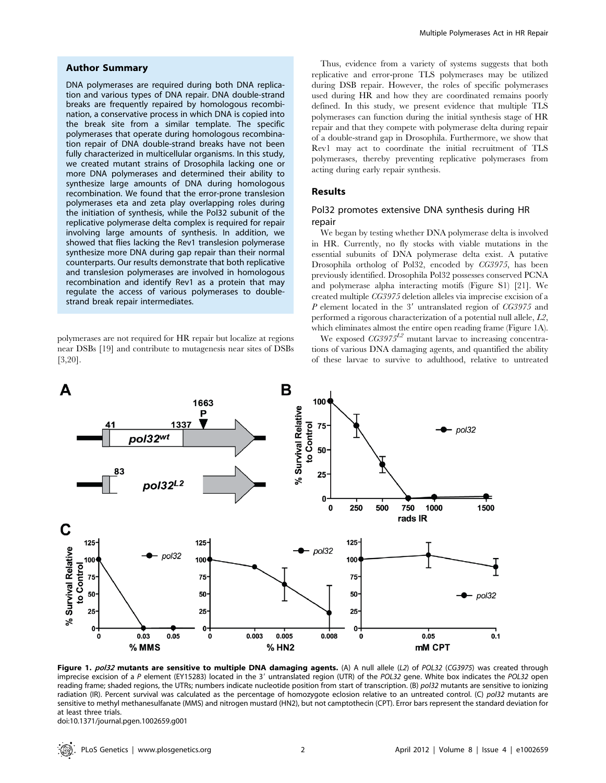## Author Summary

DNA polymerases are required during both DNA replication and various types of DNA repair. DNA double-strand breaks are frequently repaired by homologous recombination, a conservative process in which DNA is copied into the break site from a similar template. The specific polymerases that operate during homologous recombination repair of DNA double-strand breaks have not been fully characterized in multicellular organisms. In this study, we created mutant strains of Drosophila lacking one or more DNA polymerases and determined their ability to synthesize large amounts of DNA during homologous recombination. We found that the error-prone translesion polymerases eta and zeta play overlapping roles during the initiation of synthesis, while the Pol32 subunit of the replicative polymerase delta complex is required for repair involving large amounts of synthesis. In addition, we showed that flies lacking the Rev1 translesion polymerase synthesize more DNA during gap repair than their normal counterparts. Our results demonstrate that both replicative and translesion polymerases are involved in homologous recombination and identify Rev1 as a protein that may regulate the access of various polymerases to doublestrand break repair intermediates.

polymerases are not required for HR repair but localize at regions near DSBs [19] and contribute to mutagenesis near sites of DSBs [3,20].

Thus, evidence from a variety of systems suggests that both replicative and error-prone TLS polymerases may be utilized during DSB repair. However, the roles of specific polymerases used during HR and how they are coordinated remains poorly defined. In this study, we present evidence that multiple TLS polymerases can function during the initial synthesis stage of HR repair and that they compete with polymerase delta during repair of a double-strand gap in Drosophila. Furthermore, we show that Rev1 may act to coordinate the initial recruitment of TLS polymerases, thereby preventing replicative polymerases from acting during early repair synthesis.

#### Results

# Pol32 promotes extensive DNA synthesis during HR repair

We began by testing whether DNA polymerase delta is involved in HR. Currently, no fly stocks with viable mutations in the essential subunits of DNA polymerase delta exist. A putative Drosophila ortholog of Pol32, encoded by CG3975, has been previously identified. Drosophila Pol32 possesses conserved PCNA and polymerase alpha interacting motifs (Figure S1) [21]. We created multiple CG3975 deletion alleles via imprecise excision of a  $P$  element located in the 3' untranslated region of  $CG3975$  and performed a rigorous characterization of a potential null allele, L2, which eliminates almost the entire open reading frame (Figure 1A).

We exposed  $CG3975^{L2}$  mutant larvae to increasing concentrations of various DNA damaging agents, and quantified the ability of these larvae to survive to adulthood, relative to untreated



Figure 1. pol32 mutants are sensitive to multiple DNA damaging agents. (A) A null allele (L2) of POL32 (CG3975) was created through imprecise excision of a P element (EY15283) located in the 3' untranslated region (UTR) of the POL32 gene. White box indicates the POL32 open reading frame; shaded regions, the UTRs; numbers indicate nucleotide position from start of transcription. (B) pol32 mutants are sensitive to ionizing radiation (IR). Percent survival was calculated as the percentage of homozygote eclosion relative to an untreated control. (C) pol32 mutants are sensitive to methyl methanesulfanate (MMS) and nitrogen mustard (HN2), but not camptothecin (CPT). Error bars represent the standard deviation for at least three trials.

doi:10.1371/journal.pgen.1002659.g001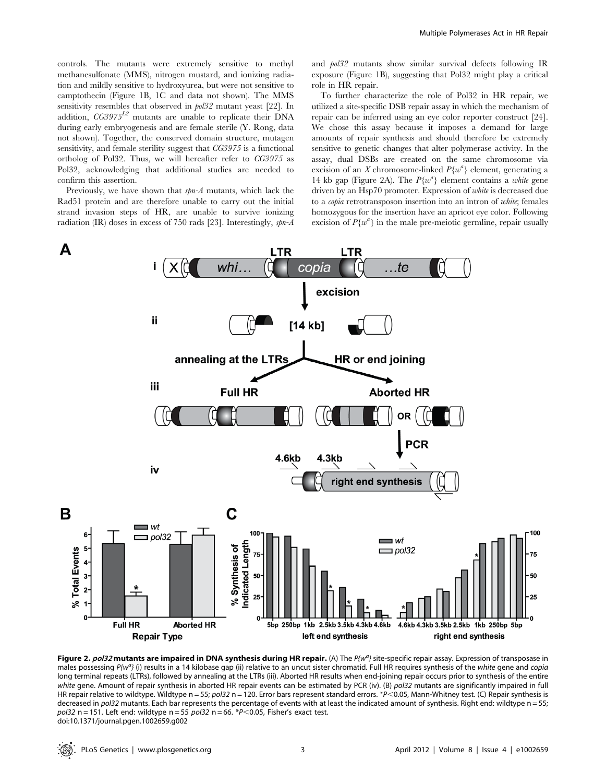controls. The mutants were extremely sensitive to methyl methanesulfonate (MMS), nitrogen mustard, and ionizing radiation and mildly sensitive to hydroxyurea, but were not sensitive to camptothecin (Figure 1B, 1C and data not shown). The MMS sensitivity resembles that observed in pol32 mutant yeast [22]. In addition,  $CG3975^{L2}$  mutants are unable to replicate their DNA during early embryogenesis and are female sterile (Y. Rong, data not shown). Together, the conserved domain structure, mutagen sensitivity, and female sterility suggest that CG3975 is a functional ortholog of Pol32. Thus, we will hereafter refer to CG3975 as Pol32, acknowledging that additional studies are needed to confirm this assertion.

Previously, we have shown that  $spn-A$  mutants, which lack the Rad51 protein and are therefore unable to carry out the initial strand invasion steps of HR, are unable to survive ionizing radiation (IR) doses in excess of 750 rads [23]. Interestingly,  $spn-A$  and pol32 mutants show similar survival defects following IR exposure (Figure 1B), suggesting that Pol32 might play a critical role in HR repair.

To further characterize the role of Pol32 in HR repair, we utilized a site-specific DSB repair assay in which the mechanism of repair can be inferred using an eye color reporter construct [24]. We chose this assay because it imposes a demand for large amounts of repair synthesis and should therefore be extremely sensitive to genetic changes that alter polymerase activity. In the assay, dual DSBs are created on the same chromosome via excision of an X chromosome-linked  $P\{w^a\}$  element, generating a 14 kb gap (Figure 2A). The  $P\{w^a\}$  element contains a white gene driven by an Hsp70 promoter. Expression of white is decreased due to a copia retrotransposon insertion into an intron of white; females homozygous for the insertion have an apricot eye color. Following excision of  $P\{w^a\}$  in the male pre-meiotic germline, repair usually



Figure 2. pol32 mutants are impaired in DNA synthesis during HR repair. (A) The P{w<sup>a</sup>} site-specific repair assay. Expression of transposase in males possessing  $P{W<sup>a</sup>}$  (i) results in a 14 kilobase gap (ii) relative to an uncut sister chromatid. Full HR requires synthesis of the white gene and copia long terminal repeats (LTRs), followed by annealing at the LTRs (iii). Aborted HR results when end-joining repair occurs prior to synthesis of the entire white gene. Amount of repair synthesis in aborted HR repair events can be estimated by PCR (iv). (B) pol32 mutants are significantly impaired in full HR repair relative to wildtype. Wildtype  $n = 55$ ; pol32 n = 120. Error bars represent standard errors. \*P<0.05, Mann-Whitney test. (C) Repair synthesis is decreased in pol32 mutants. Each bar represents the percentage of events with at least the indicated amount of synthesis. Right end: wildtype n = 55;  $pol32$  n = 151. Left end: wildtype n = 55  $pol32$  n = 66. \*P<0.05, Fisher's exact test. doi:10.1371/journal.pgen.1002659.g002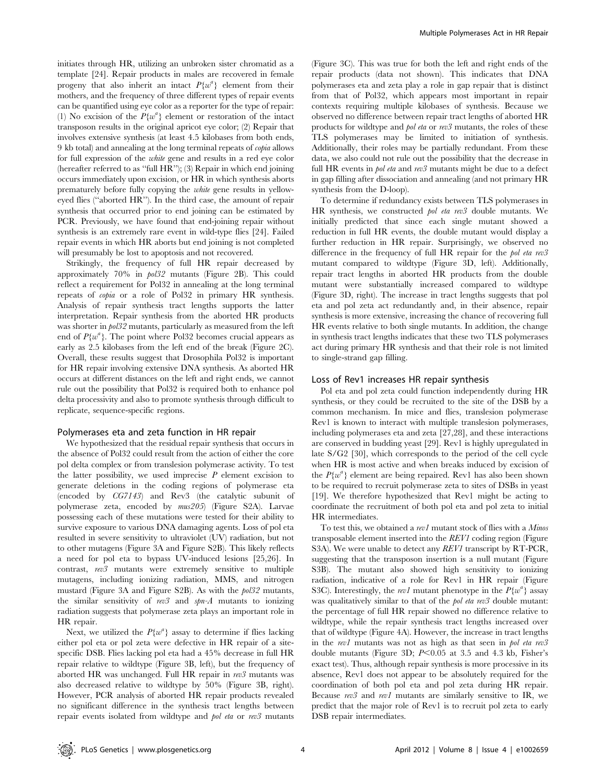initiates through HR, utilizing an unbroken sister chromatid as a template [24]. Repair products in males are recovered in female progeny that also inherit an intact  $P\{w^a\}$  element from their mothers, and the frequency of three different types of repair events can be quantified using eye color as a reporter for the type of repair: (1) No excision of the  $P\{w^a\}$  element or restoration of the intact transposon results in the original apricot eye color; (2) Repair that involves extensive synthesis (at least 4.5 kilobases from both ends, 9 kb total) and annealing at the long terminal repeats of copia allows for full expression of the white gene and results in a red eye color (hereafter referred to as ''full HR''); (3) Repair in which end joining occurs immediately upon excision, or HR in which synthesis aborts prematurely before fully copying the white gene results in yelloweyed flies (''aborted HR''). In the third case, the amount of repair synthesis that occurred prior to end joining can be estimated by PCR. Previously, we have found that end-joining repair without synthesis is an extremely rare event in wild-type flies [24]. Failed repair events in which HR aborts but end joining is not completed will presumably be lost to apoptosis and not recovered.

Strikingly, the frequency of full HR repair decreased by approximately 70% in pol32 mutants (Figure 2B). This could reflect a requirement for Pol32 in annealing at the long terminal repeats of copia or a role of Pol32 in primary HR synthesis. Analysis of repair synthesis tract lengths supports the latter interpretation. Repair synthesis from the aborted HR products was shorter in pol32 mutants, particularly as measured from the left end of  $P\{w^a\}$ . The point where Pol32 becomes crucial appears as early as 2.5 kilobases from the left end of the break (Figure 2C). Overall, these results suggest that Drosophila Pol32 is important for HR repair involving extensive DNA synthesis. As aborted HR occurs at different distances on the left and right ends, we cannot rule out the possibility that Pol32 is required both to enhance pol delta processivity and also to promote synthesis through difficult to replicate, sequence-specific regions.

#### Polymerases eta and zeta function in HR repair

We hypothesized that the residual repair synthesis that occurs in the absence of Pol32 could result from the action of either the core pol delta complex or from translesion polymerase activity. To test the latter possibility, we used imprecise  $P$  element excision to generate deletions in the coding regions of polymerase eta (encoded by CG7143) and Rev3 (the catalytic subunit of polymerase zeta, encoded by mus205) (Figure S2A). Larvae possessing each of these mutations were tested for their ability to survive exposure to various DNA damaging agents. Loss of pol eta resulted in severe sensitivity to ultraviolet (UV) radiation, but not to other mutagens (Figure 3A and Figure S2B). This likely reflects a need for pol eta to bypass UV-induced lesions [25,26]. In contrast, rev3 mutants were extremely sensitive to multiple mutagens, including ionizing radiation, MMS, and nitrogen mustard (Figure 3A and Figure S2B). As with the pol32 mutants, the similar sensitivity of  $rev3$  and  $spr-A$  mutants to ionizing radiation suggests that polymerase zeta plays an important role in HR repair.

Next, we utilized the  $P\{w^a\}$  assay to determine if flies lacking either pol eta or pol zeta were defective in HR repair of a sitespecific DSB. Flies lacking pol eta had a 45% decrease in full HR repair relative to wildtype (Figure 3B, left), but the frequency of aborted HR was unchanged. Full HR repair in rev3 mutants was also decreased relative to wildtype by 50% (Figure 3B, right). However, PCR analysis of aborted HR repair products revealed no significant difference in the synthesis tract lengths between repair events isolated from wildtype and *pol eta* or rev3 mutants (Figure 3C). This was true for both the left and right ends of the repair products (data not shown). This indicates that DNA polymerases eta and zeta play a role in gap repair that is distinct from that of Pol32, which appears most important in repair contexts requiring multiple kilobases of synthesis. Because we observed no difference between repair tract lengths of aborted HR products for wildtype and pol eta or rev3 mutants, the roles of these TLS polymerases may be limited to initiation of synthesis. Additionally, their roles may be partially redundant. From these data, we also could not rule out the possibility that the decrease in full HR events in *pol eta* and rev<sub>3</sub> mutants might be due to a defect in gap filling after dissociation and annealing (and not primary HR synthesis from the D-loop).

To determine if redundancy exists between TLS polymerases in HR synthesis, we constructed pol eta rev3 double mutants. We initially predicted that since each single mutant showed a reduction in full HR events, the double mutant would display a further reduction in HR repair. Surprisingly, we observed no difference in the frequency of full HR repair for the pol eta rev3 mutant compared to wildtype (Figure 3D, left). Additionally, repair tract lengths in aborted HR products from the double mutant were substantially increased compared to wildtype (Figure 3D, right). The increase in tract lengths suggests that pol eta and pol zeta act redundantly and, in their absence, repair synthesis is more extensive, increasing the chance of recovering full HR events relative to both single mutants. In addition, the change in synthesis tract lengths indicates that these two TLS polymerases act during primary HR synthesis and that their role is not limited to single-strand gap filling.

#### Loss of Rev1 increases HR repair synthesis

Pol eta and pol zeta could function independently during HR synthesis, or they could be recruited to the site of the DSB by a common mechanism. In mice and flies, translesion polymerase Rev1 is known to interact with multiple translesion polymerases, including polymerases eta and zeta [27,28], and these interactions are conserved in budding yeast [29]. Rev1 is highly upregulated in late S/G2 [30], which corresponds to the period of the cell cycle when HR is most active and when breaks induced by excision of the  $P\{w^a\}$  element are being repaired. Rev1 has also been shown to be required to recruit polymerase zeta to sites of DSBs in yeast [19]. We therefore hypothesized that Rev1 might be acting to coordinate the recruitment of both pol eta and pol zeta to initial HR intermediates.

To test this, we obtained a rev1 mutant stock of flies with a Minos transposable element inserted into the REV1 coding region (Figure S3A). We were unable to detect any REV1 transcript by RT-PCR, suggesting that the transposon insertion is a null mutant (Figure S3B). The mutant also showed high sensitivity to ionizing radiation, indicative of a role for Rev1 in HR repair (Figure S3C). Interestingly, the rev1 mutant phenotype in the  $P\{w^a\}$  assay was qualitatively similar to that of the pol eta rev3 double mutant: the percentage of full HR repair showed no difference relative to wildtype, while the repair synthesis tract lengths increased over that of wildtype (Figure 4A). However, the increase in tract lengths in the rev1 mutants was not as high as that seen in pol eta rev3 double mutants (Figure 3D;  $P<0.05$  at 3.5 and 4.3 kb, Fisher's exact test). Thus, although repair synthesis is more processive in its absence, Rev1 does not appear to be absolutely required for the coordination of both pol eta and pol zeta during HR repair. Because rev3 and rev1 mutants are similarly sensitive to IR, we predict that the major role of Rev1 is to recruit pol zeta to early DSB repair intermediates.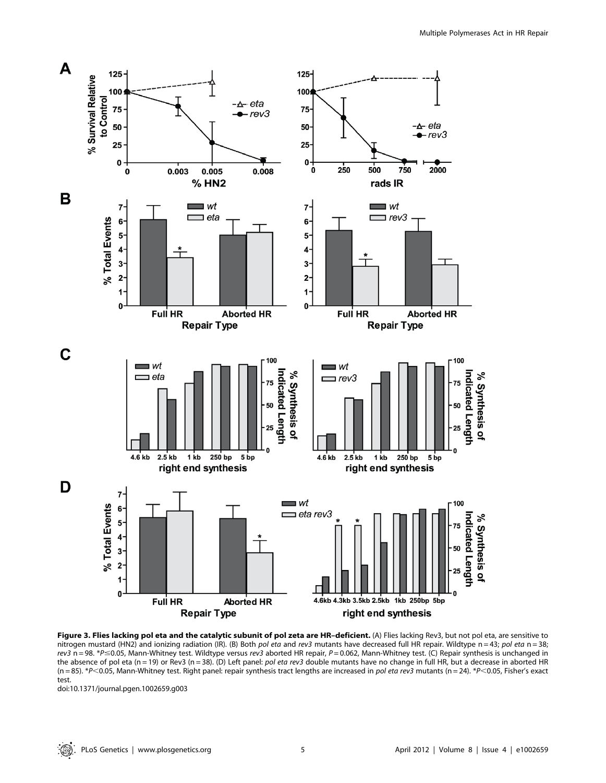

Figure 3. Flies lacking pol eta and the catalytic subunit of pol zeta are HR-deficient. (A) Flies lacking Rev3, but not pol eta, are sensitive to nitrogen mustard (HN2) and ionizing radiation (IR). (B) Both pol eta and rev3 mutants have decreased full HR repair. Wildtype n = 43; pol eta n = 38;  $rev3$  n = 98. \*P  $\leq$  0.05, Mann-Whitney test. Wildtype versus rev3 aborted HR repair, P = 0.062, Mann-Whitney test. (C) Repair synthesis is unchanged in the absence of pol eta (n = 19) or Rev3 (n = 38). (D) Left panel: pol eta rev3 double mutants have no change in full HR, but a decrease in aborted HR  $(n = 85)$ . \*P<0.05, Mann-Whitney test. Right panel: repair synthesis tract lengths are increased in pol eta rev3 mutants  $(n = 24)$ . \*P<0.05, Fisher's exact test.

doi:10.1371/journal.pgen.1002659.g003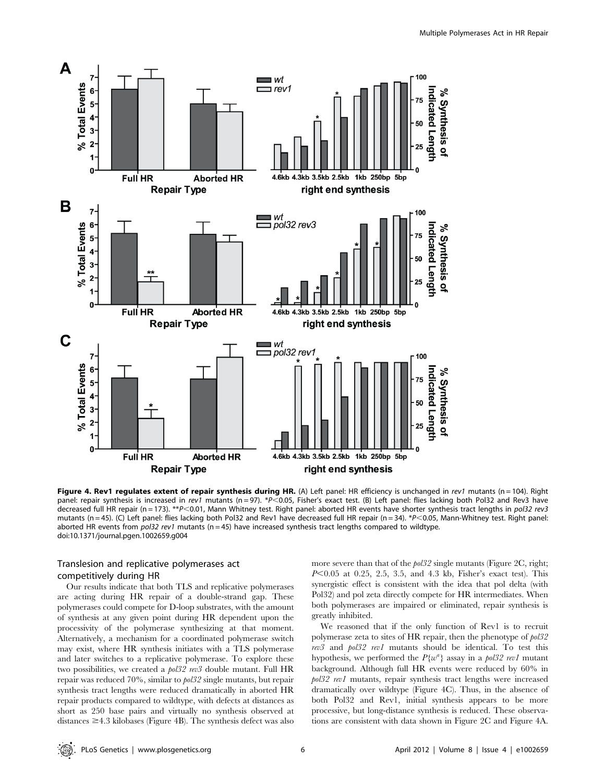

Figure 4. Rev1 regulates extent of repair synthesis during HR. (A) Left panel: HR efficiency is unchanged in rev1 mutants (n = 104). Right panel: repair synthesis is increased in rev1 mutants (n=97). \*P<0.05, Fisher's exact test. (B) Left panel: flies lacking both Pol32 and Rev3 have decreased full HR repair (n = 173). \*\*P<0.01, Mann Whitney test. Right panel: aborted HR events have shorter synthesis tract lengths in pol32 rev3 mutants (n = 45). (C) Left panel: flies lacking both Pol32 and Rev1 have decreased full HR repair (n = 34). \* $P$ <0.05, Mann-Whitney test. Right panel: aborted HR events from  $pol32$  rev1 mutants (n = 45) have increased synthesis tract lengths compared to wildtype. doi:10.1371/journal.pgen.1002659.g004

# Translesion and replicative polymerases act competitively during HR

Our results indicate that both TLS and replicative polymerases are acting during HR repair of a double-strand gap. These polymerases could compete for D-loop substrates, with the amount of synthesis at any given point during HR dependent upon the processivity of the polymerase synthesizing at that moment. Alternatively, a mechanism for a coordinated polymerase switch may exist, where HR synthesis initiates with a TLS polymerase and later switches to a replicative polymerase. To explore these two possibilities, we created a pol32 rev3 double mutant. Full HR repair was reduced 70%, similar to pol32 single mutants, but repair synthesis tract lengths were reduced dramatically in aborted HR repair products compared to wildtype, with defects at distances as short as 250 base pairs and virtually no synthesis observed at distances  $\geq$ 4.3 kilobases (Figure 4B). The synthesis defect was also more severe than that of the  $\frac{1}{2}$  single mutants (Figure 2C, right;  $P<0.05$  at 0.25, 2.5, 3.5, and 4.3 kb, Fisher's exact test). This synergistic effect is consistent with the idea that pol delta (with Pol32) and pol zeta directly compete for HR intermediates. When both polymerases are impaired or eliminated, repair synthesis is greatly inhibited.

We reasoned that if the only function of Rev1 is to recruit polymerase zeta to sites of HR repair, then the phenotype of pol32 rev3 and pol32 rev1 mutants should be identical. To test this hypothesis, we performed the  $P\{w^a\}$  assay in a pol32 rev1 mutant background. Although full HR events were reduced by 60% in pol32 rev1 mutants, repair synthesis tract lengths were increased dramatically over wildtype (Figure 4C). Thus, in the absence of both Pol32 and Rev1, initial synthesis appears to be more processive, but long-distance synthesis is reduced. These observations are consistent with data shown in Figure 2C and Figure 4A.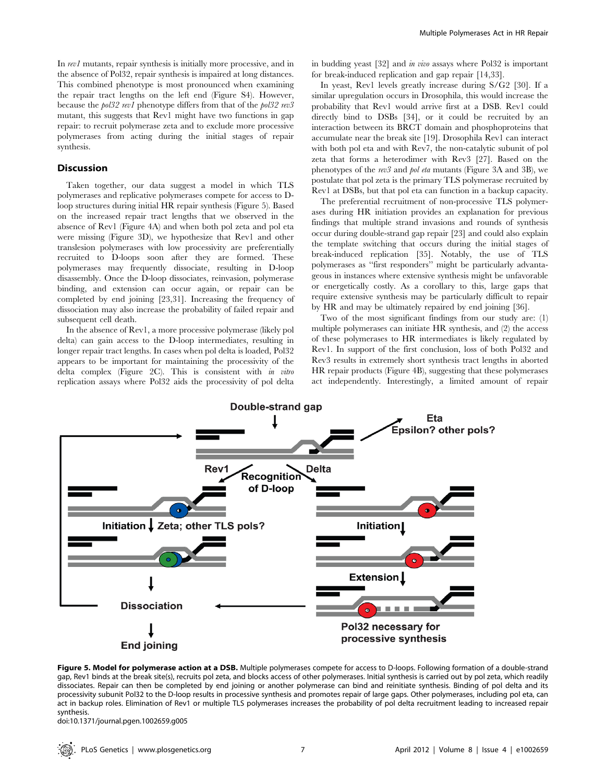In rev1 mutants, repair synthesis is initially more processive, and in the absence of Pol32, repair synthesis is impaired at long distances. This combined phenotype is most pronounced when examining the repair tract lengths on the left end (Figure S4). However, because the pol32 rev1 phenotype differs from that of the pol32 rev3 mutant, this suggests that Rev1 might have two functions in gap repair: to recruit polymerase zeta and to exclude more processive polymerases from acting during the initial stages of repair synthesis.

## Discussion

Taken together, our data suggest a model in which TLS polymerases and replicative polymerases compete for access to Dloop structures during initial HR repair synthesis (Figure 5). Based on the increased repair tract lengths that we observed in the absence of Rev1 (Figure 4A) and when both pol zeta and pol eta were missing (Figure 3D), we hypothesize that Rev1 and other translesion polymerases with low processivity are preferentially recruited to D-loops soon after they are formed. These polymerases may frequently dissociate, resulting in D-loop disassembly. Once the D-loop dissociates, reinvasion, polymerase binding, and extension can occur again, or repair can be completed by end joining [23,31]. Increasing the frequency of dissociation may also increase the probability of failed repair and subsequent cell death.

In the absence of Rev1, a more processive polymerase (likely pol delta) can gain access to the D-loop intermediates, resulting in longer repair tract lengths. In cases when pol delta is loaded, Pol32 appears to be important for maintaining the processivity of the delta complex (Figure 2C). This is consistent with in vitro replication assays where Pol32 aids the processivity of pol delta in budding yeast [32] and in vivo assays where Pol32 is important for break-induced replication and gap repair [14,33].

In yeast, Rev1 levels greatly increase during S/G2 [30]. If a similar upregulation occurs in Drosophila, this would increase the probability that Rev1 would arrive first at a DSB. Rev1 could directly bind to DSBs [34], or it could be recruited by an interaction between its BRCT domain and phosphoproteins that accumulate near the break site [19]. Drosophila Rev1 can interact with both pol eta and with Rev7, the non-catalytic subunit of pol zeta that forms a heterodimer with Rev3 [27]. Based on the phenotypes of the rev3 and pol eta mutants (Figure 3A and 3B), we postulate that pol zeta is the primary TLS polymerase recruited by Rev1 at DSBs, but that pol eta can function in a backup capacity.

The preferential recruitment of non-processive TLS polymerases during HR initiation provides an explanation for previous findings that multiple strand invasions and rounds of synthesis occur during double-strand gap repair [23] and could also explain the template switching that occurs during the initial stages of break-induced replication [35]. Notably, the use of TLS polymerases as ''first responders'' might be particularly advantageous in instances where extensive synthesis might be unfavorable or energetically costly. As a corollary to this, large gaps that require extensive synthesis may be particularly difficult to repair by HR and may be ultimately repaired by end joining [36].

Two of the most significant findings from our study are: (1) multiple polymerases can initiate HR synthesis, and (2) the access of these polymerases to HR intermediates is likely regulated by Rev1. In support of the first conclusion, loss of both Pol32 and Rev3 results in extremely short synthesis tract lengths in aborted HR repair products (Figure 4B), suggesting that these polymerases act independently. Interestingly, a limited amount of repair



Figure 5. Model for polymerase action at a DSB. Multiple polymerases compete for access to D-loops. Following formation of a double-strand gap, Rev1 binds at the break site(s), recruits pol zeta, and blocks access of other polymerases. Initial synthesis is carried out by pol zeta, which readily dissociates. Repair can then be completed by end joining or another polymerase can bind and reinitiate synthesis. Binding of pol delta and its processivity subunit Pol32 to the D-loop results in processive synthesis and promotes repair of large gaps. Other polymerases, including pol eta, can act in backup roles. Elimination of Rev1 or multiple TLS polymerases increases the probability of pol delta recruitment leading to increased repair synthesis.

doi:10.1371/journal.pgen.1002659.g005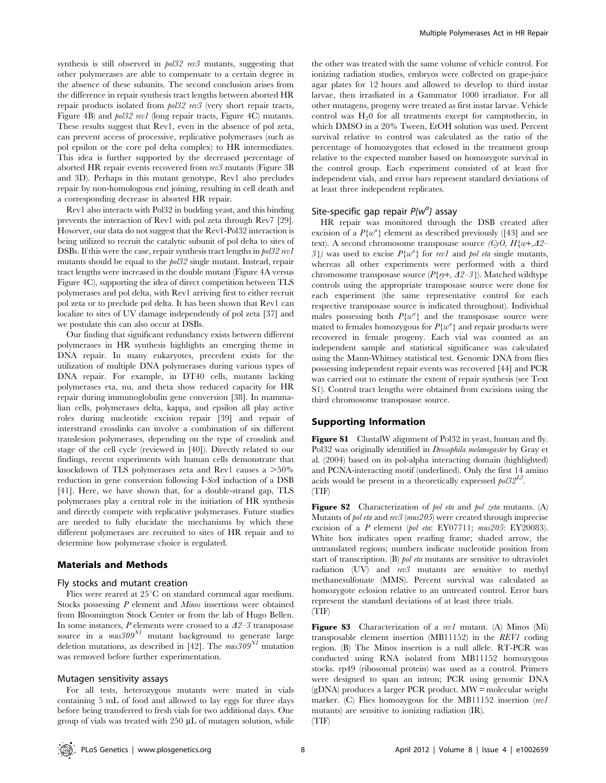synthesis is still observed in  $pol32$  rev3 mutants, suggesting that other polymerases are able to compensate to a certain degree in the absence of these subunits. The second conclusion arises from the difference in repair synthesis tract lengths between aborted HR repair products isolated from pol32 rev3 (very short repair tracts, Figure 4B) and *pol32 rev1* (long repair tracts, Figure 4C) mutants. These results suggest that Rev1, even in the absence of pol zeta, can prevent access of processive, replicative polymerases (such as pol epsilon or the core pol delta complex) to HR intermediates. This idea is further supported by the decreased percentage of aborted HR repair events recovered from rev3 mutants (Figure 3B and 3D). Perhaps in this mutant genotype, Rev1 also precludes repair by non-homologous end joining, resulting in cell death and a corresponding decrease in aborted HR repair.

Rev1 also interacts with Pol32 in budding yeast, and this binding prevents the interaction of Rev1 with pol zeta through Rev7 [29]. However, our data do not suggest that the Rev1-Pol32 interaction is being utilized to recruit the catalytic subunit of pol delta to sites of DSBs. If this were the case, repair synthesis tract lengths in  $pols2 rev1$ mutants should be equal to the pol32 single mutant. Instead, repair tract lengths were increased in the double mutant (Figure 4A versus Figure 4C), supporting the idea of direct competition between TLS polymerases and pol delta, with Rev1 arriving first to either recruit pol zeta or to preclude pol delta. It has been shown that Rev1 can localize to sites of UV damage independently of pol zeta [37] and we postulate this can also occur at DSBs.

Our finding that significant redundancy exists between different polymerases in HR synthesis highlights an emerging theme in DNA repair. In many eukaryotes, precedent exists for the utilization of multiple DNA polymerases during various types of DNA repair. For example, in DT40 cells, mutants lacking polymerases eta, nu, and theta show reduced capacity for HR repair during immunoglobulin gene conversion [38]. In mammalian cells, polymerases delta, kappa, and epsilon all play active roles during nucleotide excision repair [39] and repair of interstrand crosslinks can involve a combination of six different translesion polymerases, depending on the type of crosslink and stage of the cell cycle (reviewed in [40]). Directly related to our findings, recent experiments with human cells demonstrate that knockdown of TLS polymerases zeta and Rev1 causes a  $>50\%$ reduction in gene conversion following I-SceI induction of a DSB [41]. Here, we have shown that, for a double-strand gap, TLS polymerases play a central role in the initiation of HR synthesis and directly compete with replicative polymerases. Future studies are needed to fully elucidate the mechanisms by which these different polymerases are recruited to sites of HR repair and to determine how polymerase choice is regulated.

#### Materials and Methods

#### Fly stocks and mutant creation

Flies were reared at  $25^{\circ}$ C on standard cornmeal agar medium. Stocks possessing P element and Minos insertions were obtained from Bloomington Stock Center or from the lab of Hugo Bellen. In some instances,  $P$  elements were crossed to a  $\Delta 2$ –3 transposase source in a  $mus309<sup>N1</sup>$  mutant background to generate large deletion mutations, as described in [42]. The  $mus309<sup>N1</sup>$  mutation was removed before further experimentation.

## Mutagen sensitivity assays

For all tests, heterozygous mutants were mated in vials containing 5 mL of food and allowed to lay eggs for three days before being transferred to fresh vials for two additional days. One group of vials was treated with  $250 \mu L$  of mutagen solution, while

the other was treated with the same volume of vehicle control. For ionizing radiation studies, embryos were collected on grape-juice agar plates for 12 hours and allowed to develop to third instar larvae, then irradiated in a Gammator 1000 irradiator. For all other mutagens, progeny were treated as first instar larvae. Vehicle control was  $H_2$ 0 for all treatments except for camptothecin, in which DMSO in a 20% Tween, EtOH solution was used. Percent survival relative to control was calculated as the ratio of the percentage of homozygotes that eclosed in the treatment group relative to the expected number based on homozygote survival in the control group. Each experiment consisted of at least five independent vials, and error bars represent standard deviations of at least three independent replicates.

# Site-specific gap repair  $P_{i} \{w^{a}\}$  assay

HR repair was monitored through the DSB created after excision of a  $P\{w^a\}$  element as described previously ([43] and see text). A second chromosome transposase source  $(CyO, H\{w+A\}2-$ 3}) was used to excise  $P\{w^a\}$  for rev1 and pol eta single mutants, whereas all other experiments were performed with a third chromosome transposase source ( $P\{p+$ ,  $\Delta 2-3\}$ ). Matched wildtype controls using the appropriate transposase source were done for each experiment (the same representative control for each respective transposase source is indicated throughout). Individual males possessing both  $P\{w^a\}$  and the transposase source were mated to females homozygous for  $P\{w^a\}$  and repair products were recovered in female progeny. Each vial was counted as an independent sample and statistical significance was calculated using the Mann-Whitney statistical test. Genomic DNA from flies possessing independent repair events was recovered [44] and PCR was carried out to estimate the extent of repair synthesis (see Text S1). Control tract lengths were obtained from excisions using the third chromosome transposase source.

#### Supporting Information

Figure S1 ClustalW alignment of Pol32 in yeast, human and fly. Pol32 was originally identified in *Drosophila melanogaster* by Gray et al. (2004) based on its pol-alpha interacting domain (highlighted) and PCNA-interacting motif (underlined). Only the first 14 amino acids would be present in a theoretically expressed  $\frac{1}{2}$ . (TIF)

Figure S2 Characterization of pol eta and pol zeta mutants. (A) Mutants of pol eta and rev3 (mus205) were created through imprecise excision of a P element (pol eta: EY07711; mus205: EY20083). White box indicates open reading frame; shaded arrow, the untranslated regions; numbers indicate nucleotide position from start of transcription. (B) pol eta mutants are sensitive to ultraviolet radiation (UV) and rev3 mutants are sensitive to methyl methanesulfonate (MMS). Percent survival was calculated as homozygote eclosion relative to an untreated control. Error bars represent the standard deviations of at least three trials. (TIF)

Figure S3 Characterization of a rev1 mutant. (A) Minos (Mi) transposable element insertion (MB11152) in the REV1 coding region. (B) The Minos insertion is a null allele. RT-PCR was conducted using RNA isolated from MB11152 homozygous stocks. rp49 (ribosomal protein) was used as a control. Primers were designed to span an intron; PCR using genomic DNA (gDNA) produces a larger PCR product. MW = molecular weight marker. (C) Flies homozygous for the MB11152 insertion (rev1 mutants) are sensitive to ionizing radiation (IR).  $(TIF)$